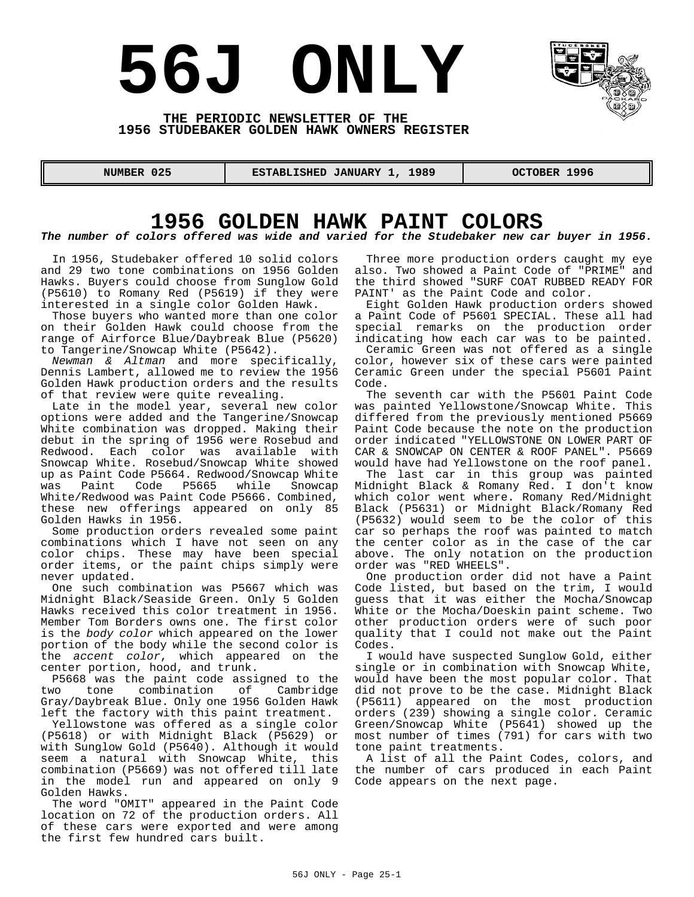# **56J ONLY**



#### **THE PERIODIC NEWSLETTER OF THE 1956 STUDEBAKER GOLDEN HAWK OWNERS REGISTER**

 **NUMBER 025 ESTABLISHED JANUARY 1, 1989 OCTOBER 1996** 

## **1956 GOLDEN HAWK PAINT COLORS**

#### *The number of colors offered was wide and varied for the Studebaker new car buyer in 1956.*

In 1956, Studebaker offered 10 solid colors and 29 two tone combinations on 1956 Golden Hawks. Buyers could choose from Sunglow Gold (P5610) to Romany Red (P5619) if they were interested in a single color Golden Hawk.

Those buyers who wanted more than one color on their Golden Hawk could choose from the range of Airforce Blue/Daybreak Blue (P5620) to Tangerine/Snowcap White (P5642).

*Newman & Altman* and more specifically, Dennis Lambert, allowed me to review the 1956 Golden Hawk production orders and the results of that review were quite revealing.

Late in the model year, several new color options were added and the Tangerine/Snowcap White combination was dropped. Making their debut in the spring of 1956 were Rosebud and Redwood. Each color was available with Snowcap White. Rosebud/Snowcap White showed up as Paint Code P5664. Redwood/Snowcap White was Paint Code P5665 while Snowcap White/Redwood was Paint Code P5666. Combined, these new offerings appeared on only 85 Golden Hawks in 1956.

Some production orders revealed some paint combinations which I have not seen on any color chips. These may have been special order items, or the paint chips simply were never updated.

One such combination was P5667 which was Midnight Black/Seaside Green. Only 5 Golden Hawks received this color treatment in 1956. Member Tom Borders owns one. The first color is the *body color* which appeared on the lower portion of the body while the second color is the *accent color*, which appeared on the center portion, hood, and trunk.

P5668 was the paint code assigned to the<br>two tone combination of Cambridge combination of Cambridge Gray/Daybreak Blue. Only one 1956 Golden Hawk left the factory with this paint treatment.

Yellowstone was offered as a single color (P5618) or with Midnight Black (P5629) or with Sunglow Gold (P5640). Although it would seem a natural with Snowcap White, this combination (P5669) was not offered till late in the model run and appeared on only 9 Golden Hawks.

The word "OMIT" appeared in the Paint Code location on 72 of the production orders. All of these cars were exported and were among the first few hundred cars built.

Three more production orders caught my eye also. Two showed a Paint Code of "PRIME" and the third showed "SURF COAT RUBBED READY FOR PAINT' as the Paint Code and color.

Eight Golden Hawk production orders showed a Paint Code of P5601 SPECIAL. These all had special remarks on the production order indicating how each car was to be painted.

Ceramic Green was not offered as a single color, however six of these cars were painted Ceramic Green under the special P5601 Paint Code.

The seventh car with the P5601 Paint Code was painted Yellowstone/Snowcap White. This differed from the previously mentioned P5669 Paint Code because the note on the production order indicated "YELLOWSTONE ON LOWER PART OF CAR & SNOWCAP ON CENTER & ROOF PANEL". P5669 would have had Yellowstone on the roof panel.

The last car in this group was painted Midnight Black & Romany Red. I don't know which color went where. Romany Red/Midnight Black (P5631) or Midnight Black/Romany Red (P5632) would seem to be the color of this car so perhaps the roof was painted to match the center color as in the case of the car above. The only notation on the production order was "RED WHEELS".

One production order did not have a Paint Code listed, but based on the trim, I would guess that it was either the Mocha/Snowcap White or the Mocha/Doeskin paint scheme. Two other production orders were of such poor quality that I could not make out the Paint Codes.

I would have suspected Sunglow Gold, either single or in combination with Snowcap White, would have been the most popular color. That did not prove to be the case. Midnight Black (P5611) appeared on the most production orders (239) showing a single color. Ceramic Green/Snowcap White (P5641) showed up the most number of times (791) for cars with two tone paint treatments.

A list of all the Paint Codes, colors, and the number of cars produced in each Paint Code appears on the next page.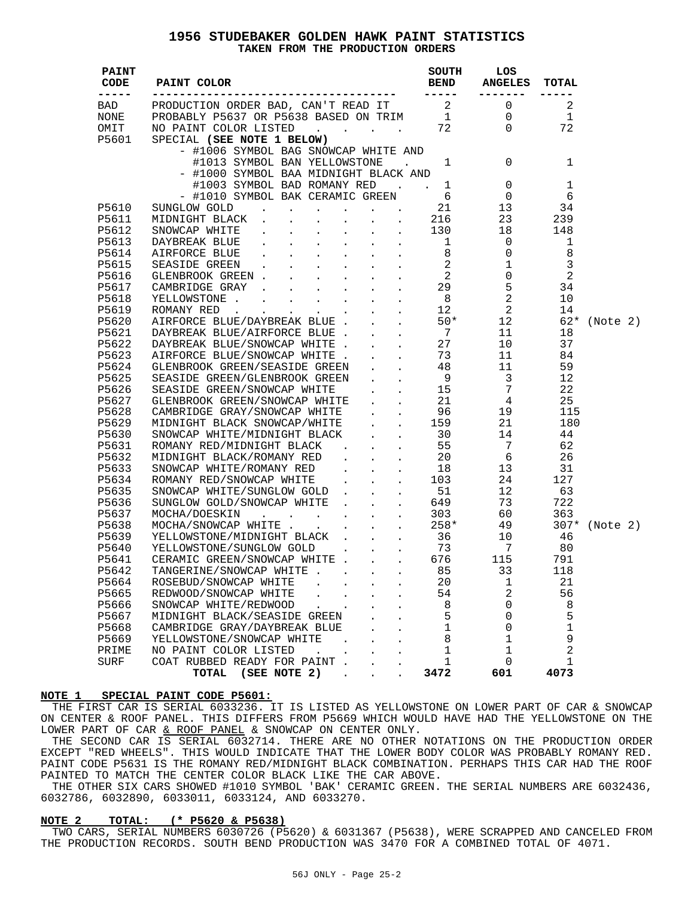#### **1956 STUDEBAKER GOLDEN HAWK PAINT STATISTICS TAKEN FROM THE PRODUCTION ORDERS**

|    |                               |                            |                              | SPECIAL (SEE NOTE 1 BELOW)   | P5601                                                                                                                                                                                                                                                                                                                                                                                                                                                                                                                                                                                                                                                                                                                                              |
|----|-------------------------------|----------------------------|------------------------------|------------------------------|----------------------------------------------------------------------------------------------------------------------------------------------------------------------------------------------------------------------------------------------------------------------------------------------------------------------------------------------------------------------------------------------------------------------------------------------------------------------------------------------------------------------------------------------------------------------------------------------------------------------------------------------------------------------------------------------------------------------------------------------------|
|    |                               |                            |                              |                              |                                                                                                                                                                                                                                                                                                                                                                                                                                                                                                                                                                                                                                                                                                                                                    |
|    |                               |                            |                              |                              |                                                                                                                                                                                                                                                                                                                                                                                                                                                                                                                                                                                                                                                                                                                                                    |
|    |                               |                            |                              |                              |                                                                                                                                                                                                                                                                                                                                                                                                                                                                                                                                                                                                                                                                                                                                                    |
|    |                               |                            |                              |                              |                                                                                                                                                                                                                                                                                                                                                                                                                                                                                                                                                                                                                                                                                                                                                    |
|    |                               |                            |                              |                              |                                                                                                                                                                                                                                                                                                                                                                                                                                                                                                                                                                                                                                                                                                                                                    |
|    |                               |                            |                              |                              | P5610                                                                                                                                                                                                                                                                                                                                                                                                                                                                                                                                                                                                                                                                                                                                              |
|    |                               |                            |                              |                              | P5611                                                                                                                                                                                                                                                                                                                                                                                                                                                                                                                                                                                                                                                                                                                                              |
|    |                               |                            |                              |                              | P5612                                                                                                                                                                                                                                                                                                                                                                                                                                                                                                                                                                                                                                                                                                                                              |
|    |                               |                            |                              |                              | P5613                                                                                                                                                                                                                                                                                                                                                                                                                                                                                                                                                                                                                                                                                                                                              |
|    |                               |                            |                              |                              | P5614                                                                                                                                                                                                                                                                                                                                                                                                                                                                                                                                                                                                                                                                                                                                              |
|    |                               |                            |                              |                              | P5615                                                                                                                                                                                                                                                                                                                                                                                                                                                                                                                                                                                                                                                                                                                                              |
|    |                               |                            |                              |                              | P5616                                                                                                                                                                                                                                                                                                                                                                                                                                                                                                                                                                                                                                                                                                                                              |
|    |                               |                            |                              |                              | P5617                                                                                                                                                                                                                                                                                                                                                                                                                                                                                                                                                                                                                                                                                                                                              |
|    |                               |                            |                              |                              | P5618                                                                                                                                                                                                                                                                                                                                                                                                                                                                                                                                                                                                                                                                                                                                              |
|    |                               |                            |                              |                              | P5619                                                                                                                                                                                                                                                                                                                                                                                                                                                                                                                                                                                                                                                                                                                                              |
|    |                               |                            |                              |                              | P5620                                                                                                                                                                                                                                                                                                                                                                                                                                                                                                                                                                                                                                                                                                                                              |
|    |                               |                            |                              |                              | P5621                                                                                                                                                                                                                                                                                                                                                                                                                                                                                                                                                                                                                                                                                                                                              |
|    |                               |                            |                              |                              | P5622                                                                                                                                                                                                                                                                                                                                                                                                                                                                                                                                                                                                                                                                                                                                              |
|    |                               |                            |                              |                              | P5623                                                                                                                                                                                                                                                                                                                                                                                                                                                                                                                                                                                                                                                                                                                                              |
|    |                               |                            |                              |                              | P5624                                                                                                                                                                                                                                                                                                                                                                                                                                                                                                                                                                                                                                                                                                                                              |
|    |                               |                            |                              |                              | P5625                                                                                                                                                                                                                                                                                                                                                                                                                                                                                                                                                                                                                                                                                                                                              |
|    |                               |                            |                              |                              | P5626                                                                                                                                                                                                                                                                                                                                                                                                                                                                                                                                                                                                                                                                                                                                              |
|    |                               |                            |                              |                              | P5627                                                                                                                                                                                                                                                                                                                                                                                                                                                                                                                                                                                                                                                                                                                                              |
|    |                               |                            |                              |                              | P5628                                                                                                                                                                                                                                                                                                                                                                                                                                                                                                                                                                                                                                                                                                                                              |
|    |                               |                            |                              |                              | P5629                                                                                                                                                                                                                                                                                                                                                                                                                                                                                                                                                                                                                                                                                                                                              |
|    |                               |                            |                              |                              | P5630                                                                                                                                                                                                                                                                                                                                                                                                                                                                                                                                                                                                                                                                                                                                              |
|    |                               |                            |                              |                              | P5631                                                                                                                                                                                                                                                                                                                                                                                                                                                                                                                                                                                                                                                                                                                                              |
|    |                               |                            |                              |                              | P5632                                                                                                                                                                                                                                                                                                                                                                                                                                                                                                                                                                                                                                                                                                                                              |
|    |                               |                            |                              |                              | P5633                                                                                                                                                                                                                                                                                                                                                                                                                                                                                                                                                                                                                                                                                                                                              |
|    |                               |                            |                              |                              | P5634                                                                                                                                                                                                                                                                                                                                                                                                                                                                                                                                                                                                                                                                                                                                              |
|    |                               |                            |                              |                              | P5635                                                                                                                                                                                                                                                                                                                                                                                                                                                                                                                                                                                                                                                                                                                                              |
|    |                               |                            |                              |                              | P5636                                                                                                                                                                                                                                                                                                                                                                                                                                                                                                                                                                                                                                                                                                                                              |
|    |                               |                            |                              |                              |                                                                                                                                                                                                                                                                                                                                                                                                                                                                                                                                                                                                                                                                                                                                                    |
|    |                               |                            |                              |                              |                                                                                                                                                                                                                                                                                                                                                                                                                                                                                                                                                                                                                                                                                                                                                    |
|    |                               |                            |                              |                              |                                                                                                                                                                                                                                                                                                                                                                                                                                                                                                                                                                                                                                                                                                                                                    |
|    |                               |                            |                              |                              |                                                                                                                                                                                                                                                                                                                                                                                                                                                                                                                                                                                                                                                                                                                                                    |
|    |                               |                            |                              |                              |                                                                                                                                                                                                                                                                                                                                                                                                                                                                                                                                                                                                                                                                                                                                                    |
|    |                               |                            |                              |                              | P5642                                                                                                                                                                                                                                                                                                                                                                                                                                                                                                                                                                                                                                                                                                                                              |
| 21 |                               |                            |                              |                              | P5664                                                                                                                                                                                                                                                                                                                                                                                                                                                                                                                                                                                                                                                                                                                                              |
|    |                               |                            |                              |                              | P5665                                                                                                                                                                                                                                                                                                                                                                                                                                                                                                                                                                                                                                                                                                                                              |
|    |                               |                            |                              |                              | P5666                                                                                                                                                                                                                                                                                                                                                                                                                                                                                                                                                                                                                                                                                                                                              |
|    |                               |                            |                              |                              | P5667                                                                                                                                                                                                                                                                                                                                                                                                                                                                                                                                                                                                                                                                                                                                              |
|    |                               |                            |                              |                              | P5668                                                                                                                                                                                                                                                                                                                                                                                                                                                                                                                                                                                                                                                                                                                                              |
|    |                               |                            |                              |                              | P5669                                                                                                                                                                                                                                                                                                                                                                                                                                                                                                                                                                                                                                                                                                                                              |
| 2  | 1                             | 1                          | $\sim$                       | NO PAINT COLOR LISTED        | PRIME                                                                                                                                                                                                                                                                                                                                                                                                                                                                                                                                                                                                                                                                                                                                              |
| 1  | 0                             | 1                          | $\sim$                       | COAT RUBBED READY FOR PAINT. | SURF                                                                                                                                                                                                                                                                                                                                                                                                                                                                                                                                                                                                                                                                                                                                               |
|    |                               |                            |                              |                              |                                                                                                                                                                                                                                                                                                                                                                                                                                                                                                                                                                                                                                                                                                                                                    |
|    | 118<br>56<br>8<br>5<br>1<br>9 | 1<br>2<br>0<br>0<br>0<br>1 | 20<br>54<br>8<br>5<br>1<br>8 |                              | SPECIAL (SEE NOTE 1 BELOW)<br>- #1006 SYMBOL BAG SNOWCAP WHITE AND<br>#1013 SYMBOL BAN YELLOWSTONE . 1 0 1<br>- #1000 SYMBOL BAA MIDNIGHT BLACK AND<br>#1003 SYMBOL BAD ROMANY RED . 1 0 1<br>- #1010 SYMBOL BAK CERAMIC GREEN 6 0 6<br>SU<br>SUNGLOW GOLD<br>SUNGLOW COLD/SONALS (FIRE 1.13 1989)<br>SINONCAP TELECK (FIRE 1.13 1999)<br>SINONCAP WHITE (1.13 1999)<br>CLEMBROOK GREEN (ATHEORY COLD (FIRE 2.13 1999)<br>CLEMBROOK GREEN (ATHEORY COLD COLD (FIRE 2.19 1999)<br>STAGE<br>TANGERINE/SNOWCAP WHITE 85 33<br>ROSEBUD/SNOWCAP WHITE .<br>REDWOOD/SNOWCAP WHITE<br>$\mathbf{r} = \mathbf{r}$<br>SNOWCAP WHITE/REDWOOD.<br>$\sim 10^{-10}$<br>MIDNIGHT BLACK/SEASIDE GREEN<br>CAMBRIDGE GRAY/DAYBREAK BLUE<br>YELLOWSTONE/SNOWCAP WHITE |

#### **NOTE 1 SPECIAL PAINT CODE P5601:**

THE FIRST CAR IS SERIAL 6033236. IT IS LISTED AS YELLOWSTONE ON LOWER PART OF CAR & SNOWCAP ON CENTER & ROOF PANEL. THIS DIFFERS FROM P5669 WHICH WOULD HAVE HAD THE YELLOWSTONE ON THE LOWER PART OF CAR & ROOF PANEL & SNOWCAP ON CENTER ONLY.

THE SECOND CAR IS SERIAL 6032714. THERE ARE NO OTHER NOTATIONS ON THE PRODUCTION ORDER EXCEPT "RED WHEELS". THIS WOULD INDICATE THAT THE LOWER BODY COLOR WAS PROBABLY ROMANY RED. PAINT CODE P5631 IS THE ROMANY RED/MIDNIGHT BLACK COMBINATION. PERHAPS THIS CAR HAD THE ROOF PAINTED TO MATCH THE CENTER COLOR BLACK LIKE THE CAR ABOVE.

THE OTHER SIX CARS SHOWED #1010 SYMBOL 'BAK' CERAMIC GREEN. THE SERIAL NUMBERS ARE 6032436, 6032786, 6032890, 6033011, 6033124, AND 6033270.

#### **NOTE 2 TOTAL: (\* P5620 & P5638)**

TWO CARS, SERIAL NUMBERS 6030726 (P5620) & 6031367 (P5638), WERE SCRAPPED AND CANCELED FROM THE PRODUCTION RECORDS. SOUTH BEND PRODUCTION WAS 3470 FOR A COMBINED TOTAL OF 4071.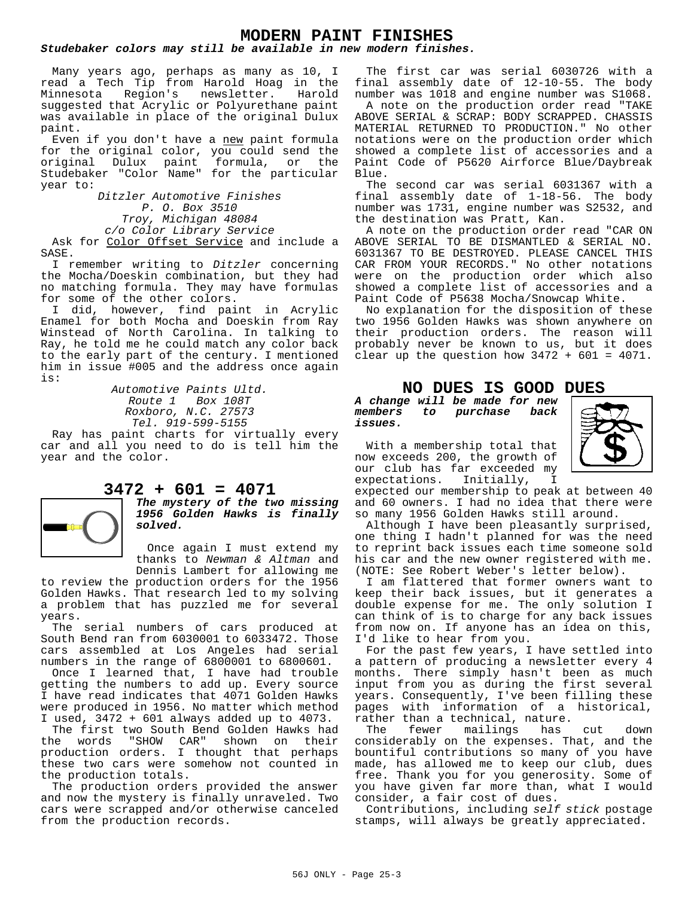## **MODERN PAINT FINISHES**

#### *Studebaker colors may still be available in new modern finishes.*

Many years ago, perhaps as many as 10, I read a Tech Tip from Harold Hoag in the Minnesota Region's newsletter. Harold suggested that Acrylic or Polyurethane paint was available in place of the original Dulux paint.

Even if you don't have a new paint formula for the original color, you could send the<br>original Dulux paint formula, or the original Dulux paint formula, or the Studebaker "Color Name" for the particular year to:

*Ditzler Automotive Finishes P. O. Box 3510 Troy, Michigan 48084 c/o Color Library Service* Ask for Color Offset Service and include a

I remember writing to *Ditzler* concerning the Mocha/Doeskin combination, but they had no matching formula. They may have formulas for some of the other colors.

SASE.

I did, however, find paint in Acrylic Enamel for both Mocha and Doeskin from Ray Winstead of North Carolina. In talking to Ray, he told me he could match any color back to the early part of the century. I mentioned him in issue #005 and the address once again is:

> *Automotive Paints Ultd. Route 1 Box 108T Roxboro, N.C. 27573 Tel. 919-599-5155*

Ray has paint charts for virtually every car and all you need to do is tell him the year and the color.

### **3472 + 601 = 4071**

*The mystery of the two missing 1956 Golden Hawks is finally solved.*

Once again I must extend my thanks to *Newman & Altman* and Dennis Lambert for allowing me

to review the production orders for the 1956 Golden Hawks. That research led to my solving a problem that has puzzled me for several years.

The serial numbers of cars produced at South Bend ran from 6030001 to 6033472. Those cars assembled at Los Angeles had serial numbers in the range of 6800001 to 6800601.

Once I learned that, I have had trouble getting the numbers to add up. Every source I have read indicates that 4071 Golden Hawks were produced in 1956. No matter which method I used, 3472 + 601 always added up to 4073.

The first two South Bend Golden Hawks had the words "SHOW CAR" shown on their production orders. I thought that perhaps these two cars were somehow not counted in the production totals.

The production orders provided the answer and now the mystery is finally unraveled. Two cars were scrapped and/or otherwise canceled from the production records.

The first car was serial 6030726 with a final assembly date of 12-10-55. The body number was 1018 and engine number was S1068.

A note on the production order read "TAKE ABOVE SERIAL & SCRAP: BODY SCRAPPED. CHASSIS MATERIAL RETURNED TO PRODUCTION." No other notations were on the production order which showed a complete list of accessories and a Paint Code of P5620 Airforce Blue/Daybreak Blue.

The second car was serial 6031367 with a final assembly date of 1-18-56. The body number was 1731, engine number was S2532, and the destination was Pratt, Kan.

A note on the production order read "CAR ON ABOVE SERIAL TO BE DISMANTLED & SERIAL NO. 6031367 TO BE DESTROYED. PLEASE CANCEL THIS CAR FROM YOUR RECORDS." No other notations were on the production order which also showed a complete list of accessories and a Paint Code of P5638 Mocha/Snowcap White.

No explanation for the disposition of these two 1956 Golden Hawks was shown anywhere on their production orders. The reason will probably never be known to us, but it does clear up the question how  $3472 + 601 = 4071$ .

#### **NO DUES IS GOOD DUES**

*A change will be made for new members to purchase back issues.*

With a membership total that now exceeds 200, the growth of our club has far exceeded my<br>expectations. Initially, I expectations. Initially, I



expected our membership to peak at between 40 and 60 owners. I had no idea that there were so many 1956 Golden Hawks still around.

Although I have been pleasantly surprised, one thing I hadn't planned for was the need to reprint back issues each time someone sold his car and the new owner registered with me. (NOTE: See Robert Weber's letter below).

I am flattered that former owners want to keep their back issues, but it generates a double expense for me. The only solution I can think of is to charge for any back issues from now on. If anyone has an idea on this, I'd like to hear from you.

For the past few years, I have settled into a pattern of producing a newsletter every 4 months. There simply hasn't been as much input from you as during the first several years. Consequently, I've been filling these pages with information of a historical, rather than a technical, nature.<br>The fewer mailings has

The fewer mailings has cut down considerably on the expenses. That, and the bountiful contributions so many of you have made, has allowed me to keep our club, dues free. Thank you for you generosity. Some of you have given far more than, what I would consider, a fair cost of dues.

Contributions, including *self stick* postage stamps, will always be greatly appreciated.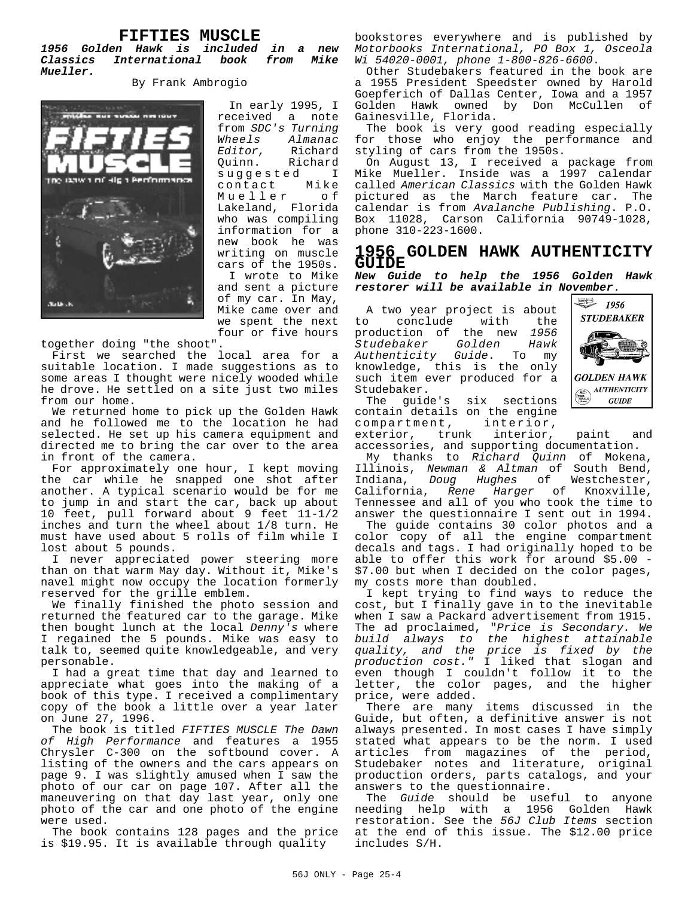#### **FIFTIES MUSCLE**

*1956 Golden Hawk is included in a new Classics International book from Mike Mueller.*

By Frank Ambrogio



In early 1995, I received a note from *SDC's Turning Wheels Almanac Editor,* Richard Richard suggested I<br>contact Mike contact Mueller of Lakeland, Florida who was compiling information for a new book he was writing on muscle cars of the 1950s. I wrote to Mike

and sent a picture of my car. In May, Mike came over and we spent the next four or five hours

together doing "the shoot".

First we searched the local area for a suitable location. I made suggestions as to some areas I thought were nicely wooded while he drove. He settled on a site just two miles from our home.

We returned home to pick up the Golden Hawk and he followed me to the location he had selected. He set up his camera equipment and directed me to bring the car over to the area in front of the camera.

For approximately one hour, I kept moving the car while he snapped one shot after another. A typical scenario would be for me to jump in and start the car, back up about 10 feet, pull forward about 9 feet 11-1/2 inches and turn the wheel about 1/8 turn. He must have used about 5 rolls of film while I lost about 5 pounds.

I never appreciated power steering more than on that warm May day. Without it, Mike's navel might now occupy the location formerly reserved for the grille emblem.

We finally finished the photo session and returned the featured car to the garage. Mike then bought lunch at the local *Denny's* where I regained the 5 pounds. Mike was easy to talk to, seemed quite knowledgeable, and very personable.

I had a great time that day and learned to appreciate what goes into the making of a book of this type. I received a complimentary copy of the book a little over a year later on June 27, 1996.

The book is titled *FIFTIES MUSCLE The Dawn of High Performance* and features a 1955 Chrysler C-300 on the softbound cover. A listing of the owners and the cars appears on page 9. I was slightly amused when I saw the photo of our car on page 107. After all the maneuvering on that day last year, only one photo of the car and one photo of the engine were used.

The book contains 128 pages and the price is \$19.95. It is available through quality

bookstores everywhere and is published by *Motorbooks International, PO Box 1, Osceola Wi 54020-0001, phone 1-800-826-6600*.

Other Studebakers featured in the book are a 1955 President Speedster owned by Harold Goepferich of Dallas Center, Iowa and a 1957 Golden Hawk owned by Don McCullen of Gainesville, Florida.

The book is very good reading especially for those who enjoy the performance and styling of cars from the 1950s.

On August 13, I received a package from Mike Mueller. Inside was a 1997 calendar called *American Classics* with the Golden Hawk pictured as the March feature car. The calendar is from *Avalanche Publishing*. P.O. Box 11028, Carson California 90749-1028, phone 310-223-1600.

#### **1956 GOLDEN HAWK AUTHENTICITY GUIDE**

*New Guide to help the 1956 Golden Hawk restorer will be available in November*.

A two year project is about to conclude with the production of the new *1956 Studebaker Golden Hawk* Authenticity Guide. knowledge, this is the only such item ever produced for a Studebaker.



The guide's six sections contain details on the engine compartment, interior,

exterior, trunk interior, paint and accessories, and supporting documentation.

My thanks to *Richard Quinn* of Mokena, Illinois, *Newman & Altman* of South Bend, Indiana, *Doug Hughes* of Westchester, California, *Rene Harger* of Knoxville, Tennessee and all of you who took the time to answer the questionnaire I sent out in 1994.

The guide contains 30 color photos and a color copy of all the engine compartment decals and tags. I had originally hoped to be able to offer this work for around \$5.00 - \$7.00 but when I decided on the color pages, my costs more than doubled.

I kept trying to find ways to reduce the cost, but I finally gave in to the inevitable when I saw a Packard advertisement from 1915. The ad proclaimed, "*Price is Secondary. We build always to the highest attainable quality, and the price is fixed by the production cost."* I liked that slogan and even though I couldn't follow it to the letter, the color pages, and the higher price, were added.

There are many items discussed in the Guide, but often, a definitive answer is not always presented. In most cases I have simply stated what appears to be the norm. I used articles from magazines of the period, Studebaker notes and literature, original production orders, parts catalogs, and your answers to the questionnaire.

The *Guide* should be useful to anyone needing help with a 1956 Golden Hawk restoration. See the *56J Club Items* section at the end of this issue. The \$12.00 price includes S/H.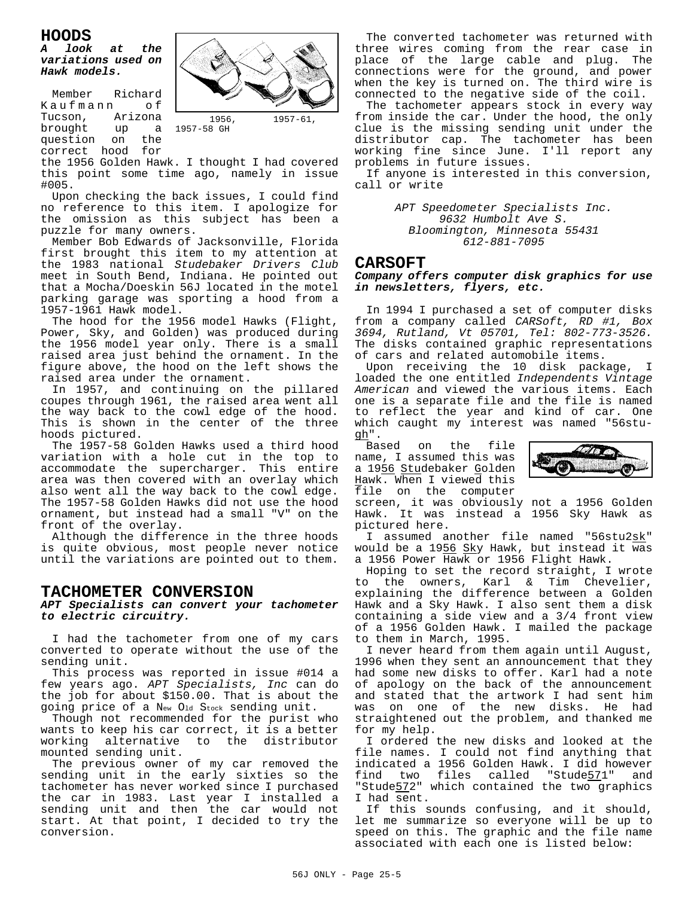#### **HOODS**

#### *A look at the variations used on Hawk models.*

Member Richard Kaufmann of<br>Tucson, Arizona Tucson, Arizona<br>brought up a up a question on the correct hood for



the 1956 Golden Hawk. I thought I had covered this point some time ago, namely in issue #005.

1957-58 GH

Upon checking the back issues, I could find no reference to this item. I apologize for the omission as this subject has been a puzzle for many owners.

Member Bob Edwards of Jacksonville, Florida first brought this item to my attention at the 1983 national *Studebaker Drivers Club* meet in South Bend, Indiana. He pointed out that a Mocha/Doeskin 56J located in the motel parking garage was sporting a hood from a 1957-1961 Hawk model.

The hood for the 1956 model Hawks (Flight, Power, Sky, and Golden) was produced during the 1956 model year only. There is a small raised area just behind the ornament. In the figure above, the hood on the left shows the raised area under the ornament.

In 1957, and continuing on the pillared coupes through 1961, the raised area went all the way back to the cowl edge of the hood. This is shown in the center of the three hoods pictured.

The 1957-58 Golden Hawks used a third hood variation with a hole cut in the top to accommodate the supercharger. This entire area was then covered with an overlay which also went all the way back to the cowl edge. The 1957-58 Golden Hawks did not use the hood ornament, but instead had a small "V" on the front of the overlay.

Although the difference in the three hoods is quite obvious, most people never notice until the variations are pointed out to them.

#### **TACHOMETER CONVERSION**

*APT Specialists can convert your tachometer to electric circuitry.*

I had the tachometer from one of my cars converted to operate without the use of the sending unit.

This process was reported in issue #014 a few years ago. *APT Specialists, Inc* can do the job for about \$150.00. That is about the going price of a New Old Stock sending unit.

Though not recommended for the purist who wants to keep his car correct, it is a better working alternative to the distributor mounted sending unit.

The previous owner of my car removed the sending unit in the early sixties so the tachometer has never worked since I purchased the car in 1983. Last year I installed a sending unit and then the car would not start. At that point, I decided to try the conversion.

The converted tachometer was returned with three wires coming from the rear case in place of the large cable and plug. The connections were for the ground, and power when the key is turned on. The third wire is connected to the negative side of the coil.

The tachometer appears stock in every way from inside the car. Under the hood, the only clue is the missing sending unit under the distributor cap. The tachometer has been working fine since June. I'll report any problems in future issues.

If anyone is interested in this conversion, call or write

> *APT Speedometer Specialists Inc. 9632 Humbolt Ave S. Bloomington, Minnesota 55431 612-881-7095*

#### **CARSOFT**

#### *Company offers computer disk graphics for use in newsletters, flyers, etc.*

In 1994 I purchased a set of computer disks from a company called *CARSoft, RD #1, Box 3694, Rutland, Vt 05701, Tel: 802-773-3526.* The disks contained graphic representations of cars and related automobile items.

Upon receiving the 10 disk package, I loaded the one entitled *Independents Vintage American* and viewed the various items. Each one is a separate file and the file is named to reflect the year and kind of car. One which caught my interest was named "56stugh".<br>Based

on the file name, I assumed this was a 1956 Studebaker Golden Hawk. When I viewed this file on the computer



screen, it was obviously not a 1956 Golden Hawk. It was instead a 1956 Sky Hawk as pictured here.

I assumed another file named "56stu2sk" would be a 1956 Sky Hawk, but instead it was a 1956 Power Hawk or 1956 Flight Hawk.

Hoping to set the record straight, I wrote to the owners, Karl & Tim Chevelier, explaining the difference between a Golden Hawk and a Sky Hawk. I also sent them a disk containing a side view and a 3/4 front view of a 1956 Golden Hawk. I mailed the package to them in March, 1995.

I never heard from them again until August, 1996 when they sent an announcement that they had some new disks to offer. Karl had a note of apology on the back of the announcement and stated that the artwork I had sent him was on one of the new disks. He had straightened out the problem, and thanked me for my help.

I ordered the new disks and looked at the file names. I could not find anything that indicated a 1956 Golden Hawk. I did however find two files called "Stude571" and "Stude572" which contained the two graphics I had sent.

If this sounds confusing, and it should, let me summarize so everyone will be up to speed on this. The graphic and the file name associated with each one is listed below: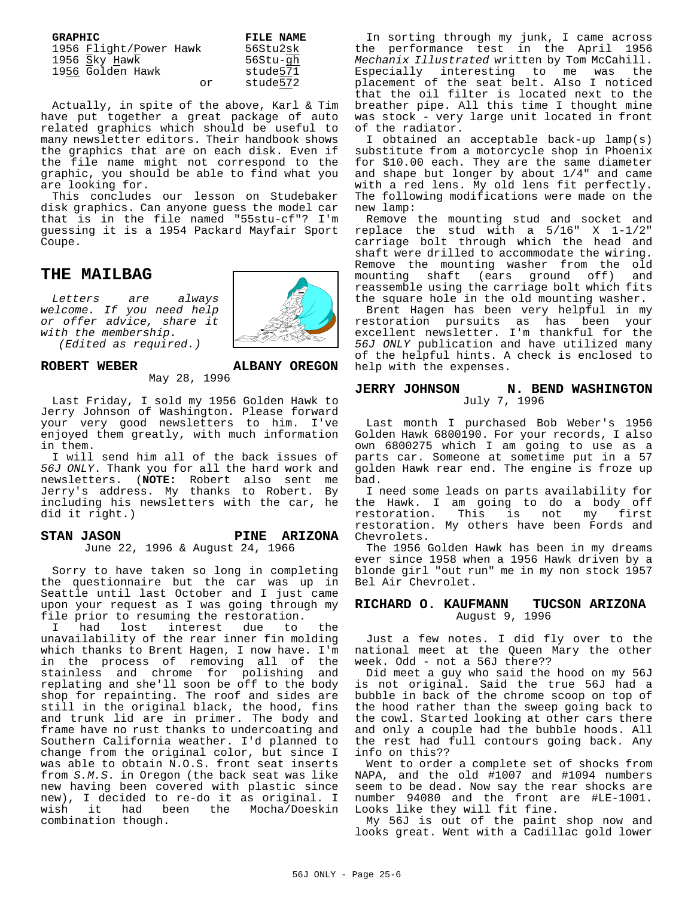| GRAPHIC |                        |    | FILE NAME |
|---------|------------------------|----|-----------|
|         | 1956 Flight/Power Hawk |    | 56Stu2sk  |
|         | 1956 Sky Hawk          |    | 56Stu-gh  |
|         | 1956 Golden Hawk       |    | stude571  |
|         |                        | Ωr | stude572  |

Actually, in spite of the above, Karl & Tim have put together a great package of auto related graphics which should be useful to many newsletter editors. Their handbook shows the graphics that are on each disk. Even if the file name might not correspond to the graphic, you should be able to find what you are looking for.

This concludes our lesson on Studebaker disk graphics. Can anyone guess the model car that is in the file named "55stu-cf"? I'm guessing it is a 1954 Packard Mayfair Sport Coupe.

#### **THE MAILBAG**

*Letters are always welcome. If you need help or offer advice, share it with the membership.*

*(Edited as required.)*



May 28, 1996

Last Friday, I sold my 1956 Golden Hawk to Jerry Johnson of Washington. Please forward your very good newsletters to him. I've enjoyed them greatly, with much information in them.

I will send him all of the back issues of *56J ONLY*. Thank you for all the hard work and newsletters. (**NOTE:** Robert also sent me Jerry's address. My thanks to Robert. By including his newsletters with the car, he did it right.)

#### **STAN JASON PINE ARIZONA** June 22, 1996 & August 24, 1966

Sorry to have taken so long in completing the questionnaire but the car was up in Seattle until last October and I just came upon your request as I was going through my file prior to resuming the restoration.<br>I had lost interest due to

interest due to the unavailability of the rear inner fin molding which thanks to Brent Hagen, I now have. I'm in the process of removing all of the stainless and chrome for polishing and replating and she'll soon be off to the body shop for repainting. The roof and sides are still in the original black, the hood, fins and trunk lid are in primer. The body and frame have no rust thanks to undercoating and Southern California weather. I'd planned to change from the original color, but since I was able to obtain N.O.S. front seat inserts from *S.M.S*. in Oregon (the back seat was like new having been covered with plastic since new), I decided to re-do it as original. I wish it had been the Mocha/Doeskin combination though.

In sorting through my junk, I came across the performance test in the April 1956 *Mechanix Illustrated* written by Tom McCahill. Especially interesting to me was the placement of the seat belt. Also I noticed that the oil filter is located next to the breather pipe. All this time I thought mine was stock - very large unit located in front of the radiator.

I obtained an acceptable back-up lamp(s) substitute from a motorcycle shop in Phoenix for \$10.00 each. They are the same diameter and shape but longer by about 1/4" and came with a red lens. My old lens fit perfectly. The following modifications were made on the new lamp:

Remove the mounting stud and socket and replace the stud with a 5/16" X 1-1/2" carriage bolt through which the head and shaft were drilled to accommodate the wiring. Remove the mounting washer from the old mounting shaft (ears ground off) and reassemble using the carriage bolt which fits the square hole in the old mounting washer.

Brent Hagen has been very helpful in my restoration pursuits as has been your excellent newsletter. I'm thankful for the *56J ONLY* publication and have utilized many of the helpful hints. A check is enclosed to help with the expenses.

#### **JERRY JOHNSON N. BEND WASHINGTON** July 7, 1996

Last month I purchased Bob Weber's 1956 Golden Hawk 6800190. For your records, I also own 6800275 which I am going to use as a parts car. Someone at sometime put in a 57 golden Hawk rear end. The engine is froze up bad.

I need some leads on parts availability for the Hawk. I am going to do a body off<br>restoration. This is not my first This is not my first restoration. My others have been Fords and Chevrolets.

The 1956 Golden Hawk has been in my dreams ever since 1958 when a 1956 Hawk driven by a blonde girl "out run" me in my non stock 1957 Bel Air Chevrolet.

#### **RICHARD O. KAUFMANN TUCSON ARIZONA** August 9, 1996

Just a few notes. I did fly over to the national meet at the Queen Mary the other week. Odd - not a 56J there??

Did meet a guy who said the hood on my 56J is not original. Said the true 56J had a bubble in back of the chrome scoop on top of the hood rather than the sweep going back to the cowl. Started looking at other cars there and only a couple had the bubble hoods. All the rest had full contours going back. Any info on this??

Went to order a complete set of shocks from NAPA, and the old #1007 and #1094 numbers seem to be dead. Now say the rear shocks are number 94080 and the front are #LE-1001. Looks like they will fit fine.

My 56J is out of the paint shop now and looks great. Went with a Cadillac gold lower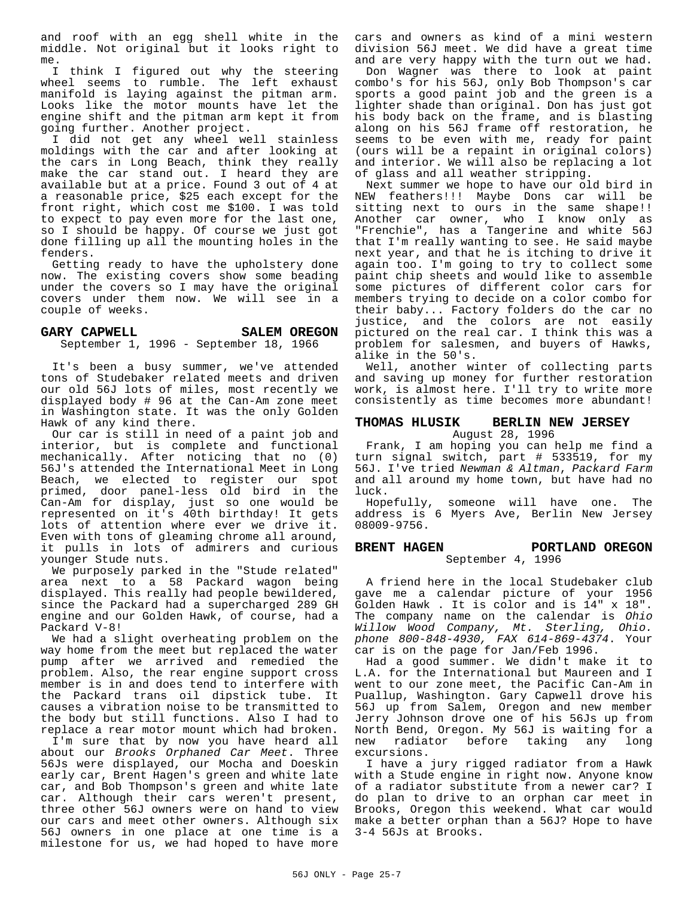and roof with an egg shell white in the middle. Not original but it looks right to me.

I think I figured out why the steering wheel seems to rumble. The left exhaust manifold is laying against the pitman arm. Looks like the motor mounts have let the engine shift and the pitman arm kept it from going further. Another project.

I did not get any wheel well stainless moldings with the car and after looking at the cars in Long Beach, think they really make the car stand out. I heard they are available but at a price. Found 3 out of 4 at a reasonable price, \$25 each except for the front right, which cost me \$100. I was told to expect to pay even more for the last one, so I should be happy. Of course we just got done filling up all the mounting holes in the fenders.

Getting ready to have the upholstery done now. The existing covers show some beading under the covers so I may have the original covers under them now. We will see in a couple of weeks.

#### GARY CAPWELL SALEM OREGON September 1, 1996 - September 18, 1966

It's been a busy summer, we've attended tons of Studebaker related meets and driven our old 56J lots of miles, most recently we displayed body # 96 at the Can-Am zone meet in Washington state. It was the only Golden Hawk of any kind there.

Our car is still in need of a paint job and interior, but is complete and functional mechanically. After noticing that no (0) 56J's attended the International Meet in Long Beach, we elected to register our spot primed, door panel-less old bird in the Can-Am for display, just so one would be represented on it's 40th birthday! It gets lots of attention where ever we drive it. Even with tons of gleaming chrome all around, it pulls in lots of admirers and curious younger Stude nuts.

We purposely parked in the "Stude related" area next to a 58 Packard wagon being displayed. This really had people bewildered, since the Packard had a supercharged 289 GH engine and our Golden Hawk, of course, had a Packard V-8!

We had a slight overheating problem on the way home from the meet but replaced the water pump after we arrived and remedied the problem. Also, the rear engine support cross member is in and does tend to interfere with the Packard trans oil dipstick tube. It causes a vibration noise to be transmitted to the body but still functions. Also I had to replace a rear motor mount which had broken.

I'm sure that by now you have heard all about our *Brooks Orphaned Car Meet*. Three 56Js were displayed, our Mocha and Doeskin early car, Brent Hagen's green and white late car, and Bob Thompson's green and white late car. Although their cars weren't present, three other 56J owners were on hand to view our cars and meet other owners. Although six 56J owners in one place at one time is a milestone for us, we had hoped to have more

cars and owners as kind of a mini western division 56J meet. We did have a great time and are very happy with the turn out we had.

Don Wagner was there to look at paint combo's for his 56J, only Bob Thompson's car sports a good paint job and the green is a lighter shade than original. Don has just got his body back on the frame, and is blasting along on his 56J frame off restoration, he seems to be even with me, ready for paint (ours will be a repaint in original colors) and interior. We will also be replacing a lot of glass and all weather stripping.

Next summer we hope to have our old bird in NEW feathers!!! Maybe Dons car will be sitting next to ours in the same shape!! Another car owner, who I know only as "Frenchie", has a Tangerine and white 56J that I'm really wanting to see. He said maybe next year, and that he is itching to drive it again too. I'm going to try to collect some paint chip sheets and would like to assemble some pictures of different color cars for members trying to decide on a color combo for their baby... Factory folders do the car no justice, and the colors are not easily pictured on the real car. I think this was a problem for salesmen, and buyers of Hawks, alike in the 50's.

Well, another winter of collecting parts and saving up money for further restoration work, is almost here. I'll try to write more consistently as time becomes more abundant!

#### **THOMAS HLUSIK BERLIN NEW JERSEY**

August 28, 1996 Frank, I am hoping you can help me find a turn signal switch, part # 533519, for my 56J. I've tried *Newman & Altman*, *Packard Farm* and all around my home town, but have had no luck.

Hopefully, someone will have one. The address is 6 Myers Ave, Berlin New Jersey 08009-9756.

#### **BRENT HAGEN PORTLAND OREGON** September 4, 1996

A friend here in the local Studebaker club gave me a calendar picture of your 1956 Golden Hawk . It is color and is 14" x 18". The company name on the calendar is *Ohio Willow Wood Company, Mt. Sterling, Ohio. phone 800-848-4930, FAX 614-869-4374*. Your car is on the page for Jan/Feb 1996.

Had a good summer. We didn't make it to L.A. for the International but Maureen and I went to our zone meet, the Pacific Can-Am in Puallup, Washington. Gary Capwell drove his 56J up from Salem, Oregon and new member Jerry Johnson drove one of his 56Js up from North Bend, Oregon. My 56J is waiting for a new radiator before taking any long excursions.

I have a jury rigged radiator from a Hawk with a Stude engine in right now. Anyone know of a radiator substitute from a newer car? I do plan to drive to an orphan car meet in Brooks, Oregon this weekend. What car would make a better orphan than a 56J? Hope to have 3-4 56Js at Brooks.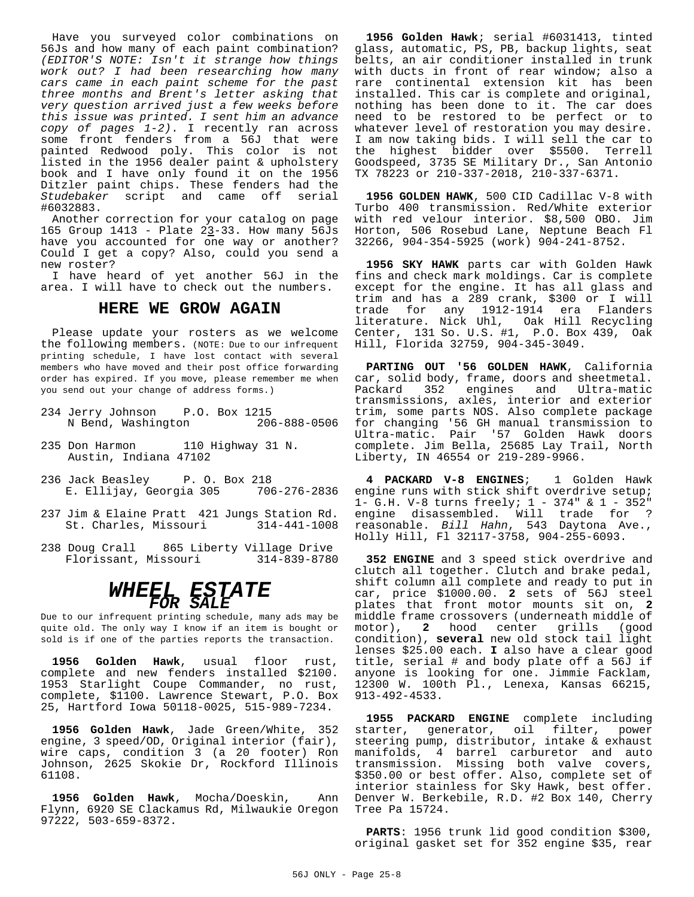Have you surveyed color combinations on 56Js and how many of each paint combination? *(EDITOR'S NOTE: Isn't it strange how things work out? I had been researching how many cars came in each paint scheme for the past three months and Brent's letter asking that very question arrived just a few weeks before this issue was printed. I sent him an advance copy of pages 1-2)*. I recently ran across some front fenders from a 56J that were painted Redwood poly. This color is not listed in the 1956 dealer paint & upholstery book and I have only found it on the 1956 Ditzler paint chips. These fenders had the *Studebaker* script and came off serial #6032883.

Another correction for your catalog on page 165 Group 1413 - Plate  $23-33$ . How many 56Js have you accounted for one way or another? Could I get a copy? Also, could you send a new roster?

I have heard of yet another 56J in the area. I will have to check out the numbers.

#### **HERE WE GROW AGAIN**

Please update your rosters as we welcome the following members. (NOTE: Due to our infrequent printing schedule, I have lost contact with several members who have moved and their post office forwarding order has expired. If you move, please remember me when you send out your change of address forms.)

- 234 Jerry Johnson P.O. Box 1215 N Bend, Washington 206-888-0506
- 235 Don Harmon 110 Highway 31 N. Austin, Indiana 47102
- 236 Jack Beasley P. O. Box 218 E. Ellijay, Georgia 305 706-276-2836
- 237 Jim & Elaine Pratt 421 Jungs Station Rd. St. Charles, Missouri
- 238 Doug Crall 865 Liberty Village Drive<br>Florissant, Missouri 314-839-8780 Florissant, Missouri

## *WHEEL ESTATE FOR SALE*

Due to our infrequent printing schedule, many ads may be quite old. The only way I know if an item is bought or sold is if one of the parties reports the transaction.

**1956 Golden Hawk**, usual floor rust, complete and new fenders installed \$2100. 1953 Starlight Coupe Commander, no rust, complete, \$1100. Lawrence Stewart, P.O. Box 25, Hartford Iowa 50118-0025, 515-989-7234.

**1956 Golden Hawk**, Jade Green/White, 352 engine, 3 speed/OD, Original interior (fair), wire caps, condition 3 (a 20 footer) Ron Johnson, 2625 Skokie Dr, Rockford Illinois 61108.

**1956 Golden Hawk**, Mocha/Doeskin, Ann Flynn, 6920 SE Clackamus Rd, Milwaukie Oregon 97222, 503-659-8372.

**1956 Golden Hawk**; serial #6031413, tinted glass, automatic, PS, PB, backup lights, seat belts, an air conditioner installed in trunk with ducts in front of rear window; also a rare continental extension kit has been installed. This car is complete and original, nothing has been done to it. The car does need to be restored to be perfect or to whatever level of restoration you may desire. I am now taking bids. I will sell the car to the highest bidder over \$5500. Terrell Goodspeed, 3735 SE Military Dr., San Antonio TX 78223 or 210-337-2018, 210-337-6371.

**1956 GOLDEN HAWK**, 500 CID Cadillac V-8 with Turbo 400 transmission. Red/White exterior with red velour interior. \$8,500 OBO. Jim Horton, 506 Rosebud Lane, Neptune Beach Fl 32266, 904-354-5925 (work) 904-241-8752.

**1956 SKY HAWK** parts car with Golden Hawk fins and check mark moldings. Car is complete except for the engine. It has all glass and trim and has a 289 crank, \$300 or I will trade for any 1912-1914 era Flanders literature. Nick Uhl, Oak Hill Recycling Center, 131 So. U.S. #1, P.O. Box 439, Oak Hill, Florida 32759, 904-345-3049.

**PARTING OUT '56 GOLDEN HAWK**, California car, solid body, frame, doors and sheetmetal. Packard 352 engines and Ultra-matic transmissions, axles, interior and exterior trim, some parts NOS. Also complete package for changing '56 GH manual transmission to Ultra-matic. Pair '57 Golden Hawk doors complete. Jim Bella, 25685 Lay Trail, North Liberty, IN 46554 or 219-289-9966.

**4 PACKARD V-8 ENGINES**; 1 Golden Hawk engine runs with stick shift overdrive setup; 1- G.H. V-8 turns freely; 1 - 374" & 1 - 352" engine disassembled. Will trade for ? reasonable. *Bill Hahn*, 543 Daytona Ave., Holly Hill, Fl 32117-3758, 904-255-6093.

**352 ENGINE** and 3 speed stick overdrive and clutch all together. Clutch and brake pedal, shift column all complete and ready to put in car, price \$1000.00. **2** sets of 56J steel plates that front motor mounts sit on, **2** middle frame crossovers (underneath middle of motor), 2 hood center grills (good motor), **2** hood center grills condition), **several** new old stock tail light lenses \$25.00 each. **I** also have a clear good title, serial # and body plate off a 56J if anyone is looking for one. Jimmie Facklam, 12300 W. 100th Pl., Lenexa, Kansas 66215, 913-492-4533.

**1955 PACKARD ENGINE** complete including starter, generator, oil filter, power steering pump, distributor, intake & exhaust manifolds, 4 barrel carburetor and auto transmission. Missing both valve covers, \$350.00 or best offer. Also, complete set of interior stainless for Sky Hawk, best offer. Denver W. Berkebile, R.D. #2 Box 140, Cherry Tree Pa 15724.

**PARTS**: 1956 trunk lid good condition \$300, original gasket set for 352 engine \$35, rear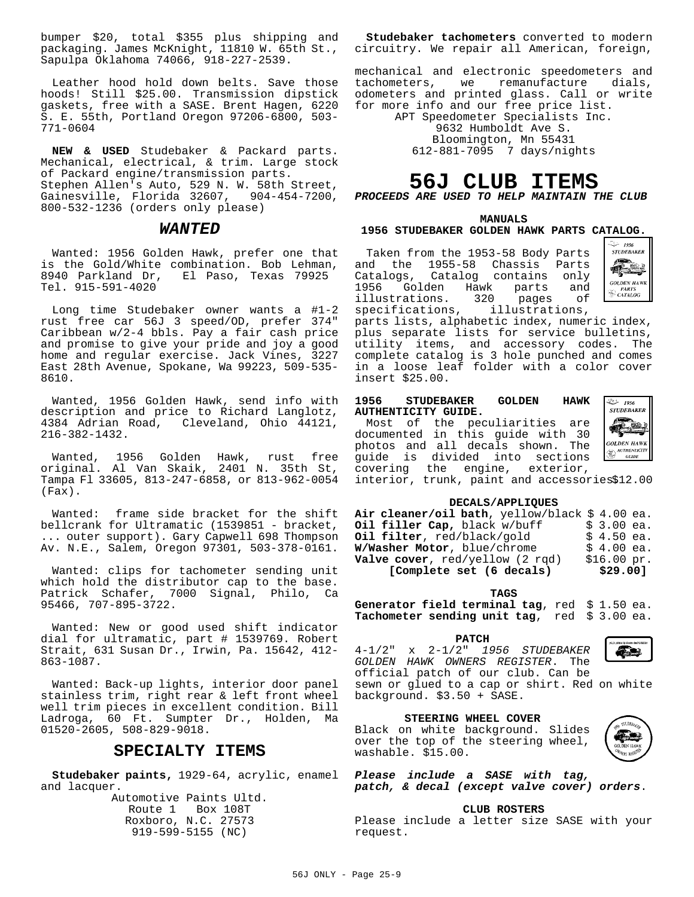bumper \$20, total \$355 plus shipping and packaging. James McKnight, 11810 W. 65th St., Sapulpa Oklahoma 74066, 918-227-2539.

Leather hood hold down belts. Save those hoods! Still \$25.00. Transmission dipstick gaskets, free with a SASE. Brent Hagen, 6220 S. E. 55th, Portland Oregon 97206-6800, 503- 771-0604

**NEW & USED** Studebaker & Packard parts. Mechanical, electrical, & trim. Large stock of Packard engine/transmission parts. Stephen Allen's Auto, 529 N. W. 58th Street, Gainesville, Florida 32607, 904-454-7200, 800-532-1236 (orders only please)

#### *WANTED*

Wanted: 1956 Golden Hawk, prefer one that is the Gold/White combination. Bob Lehman, 8940 Parkland Dr, El Paso, Texas 79925 Tel. 915-591-4020

Long time Studebaker owner wants a #1-2 rust free car 56J 3 speed/OD, prefer 374" Caribbean w/2-4 bbls. Pay a fair cash price and promise to give your pride and joy a good home and regular exercise. Jack Vines, 3227 East 28th Avenue, Spokane, Wa 99223, 509-535- 8610.

Wanted, 1956 Golden Hawk, send info with description and price to Richard Langlotz, 4384 Adrian Road, Cleveland, Ohio 44121, 216-382-1432.

Wanted, 1956 Golden Hawk, rust free original. Al Van Skaik, 2401 N. 35th St, Tampa Fl 33605, 813-247-6858, or 813-962-0054 (Fax).

Wanted: frame side bracket for the shift bellcrank for Ultramatic (1539851 - bracket, ... outer support). Gary Capwell 698 Thompson Av. N.E., Salem, Oregon 97301, 503-378-0161.

Wanted: clips for tachometer sending unit which hold the distributor cap to the base. Patrick Schafer, 7000 Signal, Philo, Ca 95466, 707-895-3722.

Wanted: New or good used shift indicator dial for ultramatic, part # 1539769. Robert Strait, 631 Susan Dr., Irwin, Pa. 15642, 412- 863-1087.

Wanted: Back-up lights, interior door panel stainless trim, right rear & left front wheel well trim pieces in excellent condition. Bill Ladroga, 60 Ft. Sumpter Dr., Holden, Ma 01520-2605, 508-829-9018.

#### **SPECIALTY ITEMS**

**Studebaker paints,** 1929-64, acrylic, enamel *Please include a SASE with tag,* and lacquer.

Automotive Paints Ultd. Route 1 Box 108T Roxboro, N.C. 27573 919-599-5155 (NC)

**Studebaker tachometers** converted to modern circuitry. We repair all American, foreign,

mechanical and electronic speedometers and tachometers, we remanufacture dials, odometers and printed glass. Call or write for more info and our free price list.

APT Speedometer Specialists Inc.

9632 Humboldt Ave S. Bloomington, Mn 55431 612-881-7095 7 days/nights

## **56J CLUB ITEMS**

*PROCEEDS ARE USED TO HELP MAINTAIN THE CLUB*

#### **MANUALS 1956 STUDEBAKER GOLDEN HAWK PARTS CATALOG.**

Taken from the 1953-58 Body Parts and the 1955-58 Chassis Parts Catalogs, Catalog contains only<br>1956 Golden Hawk parts and en<br>1956 Fractions. Subset of the parts<br>Trations. 320 pages illustrations. 320 pages of<br>specifications, illustrations, illustrations,



parts lists, alphabetic index, numeric index, plus separate lists for service bulletins, utility items, and accessory codes. The complete catalog is 3 hole punched and comes in a loose leaf folder with a color cover insert \$25.00.

#### **1956 STUDEBAKER GOLDEN HAWK AUTHENTICITY GUIDE.**

Most of the peculiarities are documented in this guide with 30 photos and all decals shown. The guide is divided into sections covering the engine, exterior,



interior, trunk, paint and accessories\$12.00

#### **DECALS/APPLIQUES**

| Air cleaner/oil bath, yellow/black \$4.00 ea. |             |  |
|-----------------------------------------------|-------------|--|
| Oil filler Cap, black w/buff                  | $$3.00$ ea. |  |
| Oil filter, red/black/gold                    | $$4.50$ ea. |  |
| W/Washer Motor, blue/chrome                   | $$4.00$ ea. |  |
| Valve cover, red/yellow (2 rqd)               | \$16.00~pr. |  |
| [Complete set (6 decals)                      | \$29.00]    |  |

**TAGS**

**Generator field terminal tag**, red \$ 1.50 ea. **Tachometer sending unit tag**, red \$ 3.00 ea.

#### **PATCH**

4-1/2" x 2-1/2" *1956 STUDEBAKER GOLDEN HAWK OWNERS REGISTER*. The official patch of our club. Can be sewn or glued to a cap or shirt. Red on white



**STEERING WHEEL COVER**

background. \$3.50 + SASE.

Black on white background. Slides over the top of the steering wheel, washable. \$15.00.



*patch, & decal (except valve cover) orders*.

#### **CLUB ROSTERS**

Please include a letter size SASE with your request.